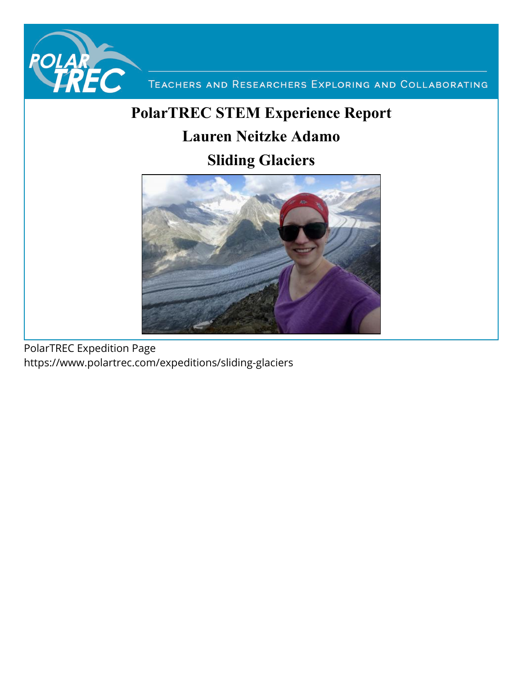

TEACHERS AND RESEARCHERS EXPLORING AND COLLABORATING

# **PolarTREC STEM Experience Report Lauren Neitzke Adamo**



PolarTREC Expedition Page https://www.polartrec.com/expeditions/sliding-glaciers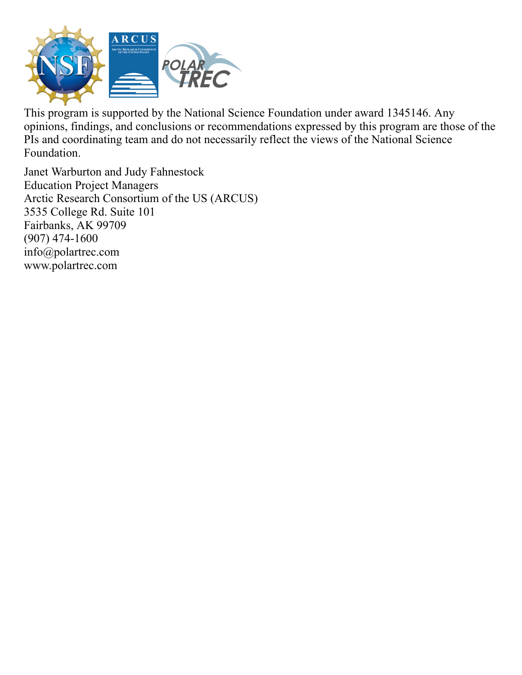

This program is supported by the National Science Foundation under award 1345146. Any opinions, findings, and conclusions or recommendations expressed by this program are those of the PIs and coordinating team and do not necessarily reflect the views of the National Science Foundation.

Janet Warburton and Judy Fahnestock Education Project Managers Arctic Research Consortium of the US (ARCUS) 3535 College Rd. Suite 101 Fairbanks, AK 99709  $(907)$  474-1600 info@polartrec.com www.polartrec.com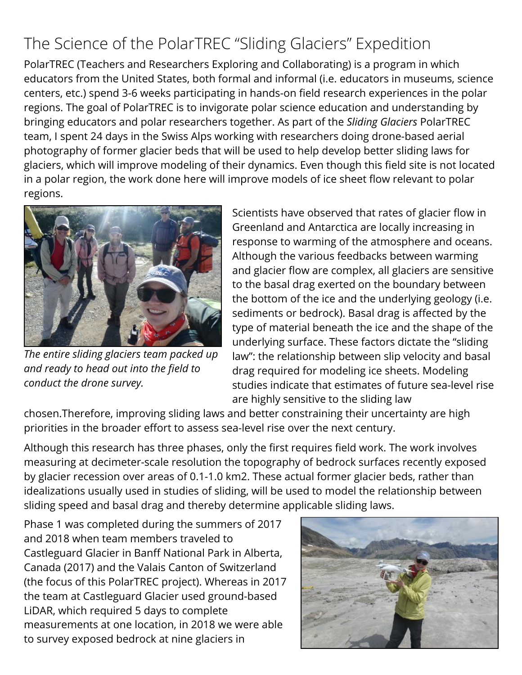## The Science of the PolarTREC "Sliding Glaciers" Expedition

PolarTREC (Teachers and Researchers Exploring and Collaborating) is a program in which educators from the United States, both formal and informal (i.e. educators in museums, science centers, etc.) spend 3-6 weeks participating in hands-on field research experiences in the polar regions. The goal of PolarTREC is to invigorate polar science education and understanding by bringing educators and polar researchers together. As part of the *Sliding Glaciers* PolarTREC team, I spent 24 days in the Swiss Alps working with researchers doing drone-based aerial photography of former glacier beds that will be used to help develop better sliding laws for glaciers, which will improve modeling of their dynamics. Even though this field site is not located in a polar region, the work done here will improve models of ice sheet flow relevant to polar regions.



*The entire sliding glaciers team packed up and ready to head out into the eld to conduct the drone survey.*

Scientists have observed that rates of glacier flow in Greenland and Antarctica are locally increasing in response to warming of the atmosphere and oceans. Although the various feedbacks between warming and glacier flow are complex, all glaciers are sensitive to the basal drag exerted on the boundary between the bottom of the ice and the underlying geology (i.e. sediments or bedrock). Basal drag is affected by the type of material beneath the ice and the shape of the underlying surface. These factors dictate the "sliding law": the relationship between slip velocity and basal drag required for modeling ice sheets. Modeling studies indicate that estimates of future sea-level rise are highly sensitive to the sliding law

chosen.Therefore, improving sliding laws and better constraining their uncertainty are high priorities in the broader effort to assess sea-level rise over the next century.

Although this research has three phases, only the first requires field work. The work involves measuring at decimeter-scale resolution the topography of bedrock surfaces recently exposed by glacier recession over areas of 0.1-1.0 km2. These actual former glacier beds, rather than idealizations usually used in studies of sliding, will be used to model the relationship between sliding speed and basal drag and thereby determine applicable sliding laws.

Phase 1 was completed during the summers of 2017 and 2018 when team members traveled to Castleguard Glacier in Banff National Park in Alberta, Canada (2017) and the Valais Canton of Switzerland (the focus of this PolarTREC project). Whereas in 2017 the team at Castleguard Glacier used ground-based LiDAR, which required 5 days to complete measurements at one location, in 2018 we were able to survey exposed bedrock at nine glaciers in

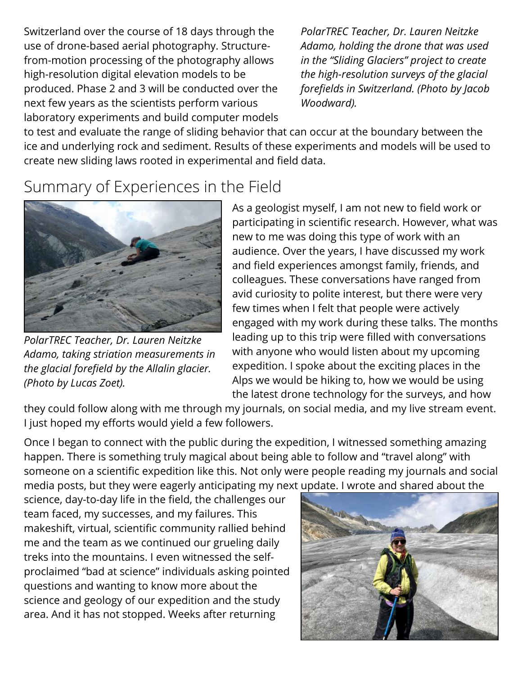Switzerland over the course of 18 days through the use of drone-based aerial photography. Structurefrom-motion processing of the photography allows high-resolution digital elevation models to be produced. Phase 2 and 3 will be conducted over the next few years as the scientists perform various laboratory experiments and build computer models

*PolarTREC Teacher, Dr. Lauren Neitzke Adamo, holding the drone that was used in the "Sliding Glaciers" project to create the high-resolution surveys of the glacial foreelds in Switzerland. (Photo by Jacob Woodward).*

to test and evaluate the range of sliding behavior that can occur at the boundary between the ice and underlying rock and sediment. Results of these experiments and models will be used to create new sliding laws rooted in experimental and field data.

#### Summary of Experiences in the Field



*PolarTREC Teacher, Dr. Lauren Neitzke Adamo, taking striation measurements in the glacial forefield by the Allalin glacier. (Photo by Lucas Zoet).*

As a geologist myself, I am not new to field work or participating in scientific research. However, what was new to me was doing this type of work with an audience. Over the years, I have discussed my work and field experiences amongst family, friends, and colleagues. These conversations have ranged from avid curiosity to polite interest, but there were very few times when I felt that people were actively engaged with my work during these talks. The months leading up to this trip were filled with conversations with anyone who would listen about my upcoming expedition. I spoke about the exciting places in the Alps we would be hiking to, how we would be using the latest drone technology for the surveys, and how

they could follow along with me through my journals, on social media, and my live stream event. I just hoped my efforts would yield a few followers.

Once I began to connect with the public during the expedition, I witnessed something amazing happen. There is something truly magical about being able to follow and "travel along" with someone on a scientific expedition like this. Not only were people reading my journals and social media posts, but they were eagerly anticipating my next update. I wrote and shared about the

science, day-to-day life in the field, the challenges our team faced, my successes, and my failures. This makeshift, virtual, scientific community rallied behind me and the team as we continued our grueling daily treks into the mountains. I even witnessed the selfproclaimed "bad at science" individuals asking pointed questions and wanting to know more about the science and geology of our expedition and the study area. And it has not stopped. Weeks after returning

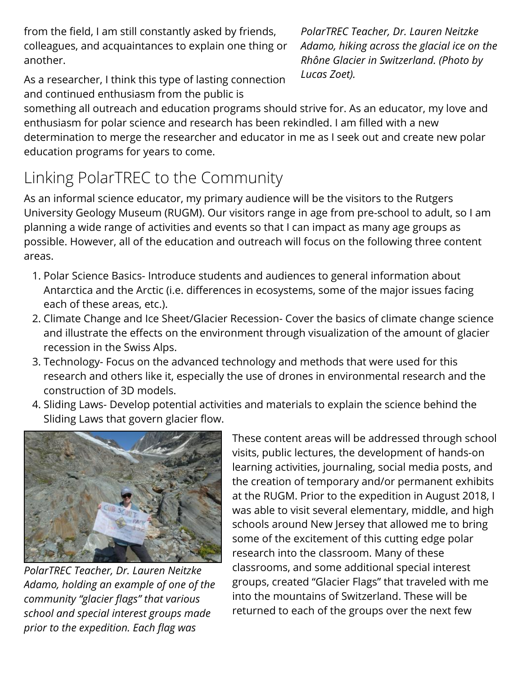from the field, I am still constantly asked by friends, colleagues, and acquaintances to explain one thing or another.

As a researcher, I think this type of lasting connection and continued enthusiasm from the public is

*PolarTREC Teacher, Dr. Lauren Neitzke Adamo, hiking across the glacial ice on the Rhône Glacier in Switzerland. (Photo by Lucas Zoet).*

something all outreach and education programs should strive for. As an educator, my love and enthusiasm for polar science and research has been rekindled. I am filled with a new determination to merge the researcher and educator in me as I seek out and create new polar education programs for years to come.

## Linking PolarTREC to the Community

As an informal science educator, my primary audience will be the visitors to the Rutgers University Geology Museum (RUGM). Our visitors range in age from pre-school to adult, so I am planning a wide range of activities and events so that I can impact as many age groups as possible. However, all of the education and outreach will focus on the following three content areas.

- 1. Polar Science Basics- Introduce students and audiences to general information about Antarctica and the Arctic (i.e. differences in ecosystems, some of the major issues facing each of these areas, etc.).
- 2. Climate Change and Ice Sheet/Glacier Recession- Cover the basics of climate change science and illustrate the effects on the environment through visualization of the amount of glacier recession in the Swiss Alps.
- 3. Technology- Focus on the advanced technology and methods that were used for this research and others like it, especially the use of drones in environmental research and the construction of 3D models.
- 4. Sliding Laws- Develop potential activities and materials to explain the science behind the Sliding Laws that govern glacier flow.



*PolarTREC Teacher, Dr. Lauren Neitzke Adamo, holding an example of one of the community "glacier ags" that various school and special interest groups made prior to the expedition. Each ag was*

These content areas will be addressed through school visits, public lectures, the development of hands-on learning activities, journaling, social media posts, and the creation of temporary and/or permanent exhibits at the RUGM. Prior to the expedition in August 2018, I was able to visit several elementary, middle, and high schools around New Jersey that allowed me to bring some of the excitement of this cutting edge polar research into the classroom. Many of these classrooms, and some additional special interest groups, created "Glacier Flags" that traveled with me into the mountains of Switzerland. These will be returned to each of the groups over the next few